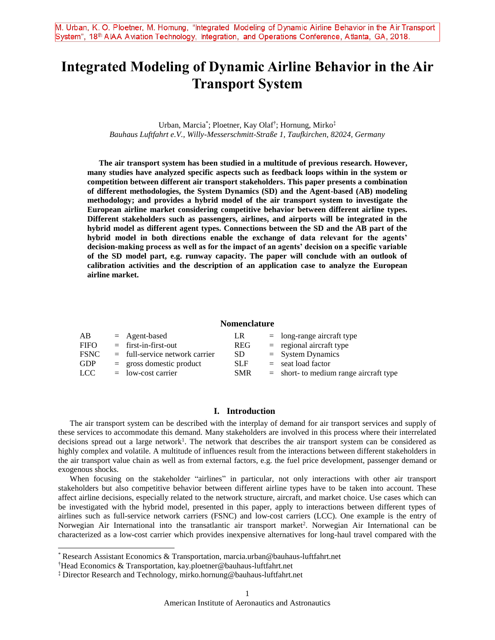# **Integrated Modeling of Dynamic Airline Behavior in the Air Transport System**

Urban, Marcia\* ; Ploetner, Kay Olaf† ; Hornung, Mirko‡ *Bauhaus Luftfahrt e.V., Willy-Messerschmitt-Straße 1, Taufkirchen, 82024, Germany*

**The air transport system has been studied in a multitude of previous research. However, many studies have analyzed specific aspects such as feedback loops within in the system or competition between different air transport stakeholders. This paper presents a combination of different methodologies, the System Dynamics (SD) and the Agent-based (AB) modeling methodology; and provides a hybrid model of the air transport system to investigate the European airline market considering competitive behavior between different airline types. Different stakeholders such as passengers, airlines, and airports will be integrated in the hybrid model as different agent types. Connections between the SD and the AB part of the hybrid model in both directions enable the exchange of data relevant for the agents' decision-making process as well as for the impact of an agents' decision on a specific variable of the SD model part, e.g. runway capacity. The paper will conclude with an outlook of calibration activities and the description of an application case to analyze the European airline market.**

## **Nomenclature**

| AB          | $=$ Agent-based                  | LR         | $=$ long-range aircraft type             |
|-------------|----------------------------------|------------|------------------------------------------|
| <b>FIFO</b> | $=$ first-in-first-out           | <b>REG</b> | $=$ regional aircraft type               |
| <b>FSNC</b> | $=$ full-service network carrier | SD.        | $=$ System Dynamics                      |
| <b>GDP</b>  | $=$ gross domestic product       | <b>SLF</b> | $=$ seat load factor                     |
| LCC         | $=$ low-cost carrier             | <b>SMR</b> | $=$ short- to medium range aircraft type |

## **I. Introduction**

The air transport system can be described with the interplay of demand for air transport services and supply of these services to accommodate this demand. Many stakeholders are involved in this process where their interrelated decisions spread out a large network<sup>1</sup>. The network that describes the air transport system can be considered as highly complex and volatile. A multitude of influences result from the interactions between different stakeholders in the air transport value chain as well as from external factors, e.g. the fuel price development, passenger demand or exogenous shocks.

When focusing on the stakeholder "airlines" in particular, not only interactions with other air transport stakeholders but also competitive behavior between different airline types have to be taken into account. These affect airline decisions, especially related to the network structure, aircraft, and market choice. Use cases which can be investigated with the hybrid model, presented in this paper, apply to interactions between different types of airlines such as full-service network carriers (FSNC) and low-cost carriers (LCC). One example is the entry of Norwegian Air International into the transatlantic air transport market<sup>2</sup>. Norwegian Air International can be characterized as a low-cost carrier which provides inexpensive alternatives for long-haul travel compared with the

 $\overline{a}$ 

<sup>\*</sup> Research Assistant Economics & Transportation, marcia.urban@bauhaus-luftfahrt.net

<sup>†</sup>Head Economics & Transportation, kay.ploetner@bauhaus-luftfahrt.net

<sup>‡</sup> Director Research and Technology, mirko.hornung@bauhaus-luftfahrt.net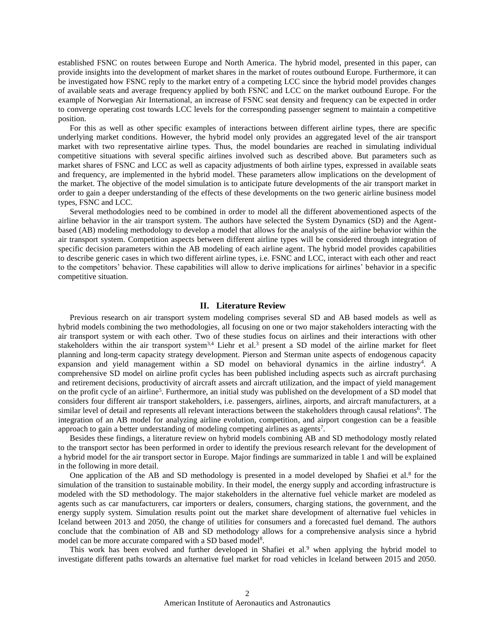established FSNC on routes between Europe and North America. The hybrid model, presented in this paper, can provide insights into the development of market shares in the market of routes outbound Europe. Furthermore, it can be investigated how FSNC reply to the market entry of a competing LCC since the hybrid model provides changes of available seats and average frequency applied by both FSNC and LCC on the market outbound Europe. For the example of Norwegian Air International, an increase of FSNC seat density and frequency can be expected in order to converge operating cost towards LCC levels for the corresponding passenger segment to maintain a competitive position.

For this as well as other specific examples of interactions between different airline types, there are specific underlying market conditions. However, the hybrid model only provides an aggregated level of the air transport market with two representative airline types. Thus, the model boundaries are reached in simulating individual competitive situations with several specific airlines involved such as described above. But parameters such as market shares of FSNC and LCC as well as capacity adjustments of both airline types, expressed in available seats and frequency, are implemented in the hybrid model. These parameters allow implications on the development of the market. The objective of the model simulation is to anticipate future developments of the air transport market in order to gain a deeper understanding of the effects of these developments on the two generic airline business model types, FSNC and LCC.

Several methodologies need to be combined in order to model all the different abovementioned aspects of the airline behavior in the air transport system. The authors have selected the System Dynamics (SD) and the Agentbased (AB) modeling methodology to develop a model that allows for the analysis of the airline behavior within the air transport system. Competition aspects between different airline types will be considered through integration of specific decision parameters within the AB modeling of each airline agent. The hybrid model provides capabilities to describe generic cases in which two different airline types, i.e. FSNC and LCC, interact with each other and react to the competitors' behavior. These capabilities will allow to derive implications for airlines' behavior in a specific competitive situation.

## **II. Literature Review**

Previous research on air transport system modeling comprises several SD and AB based models as well as hybrid models combining the two methodologies, all focusing on one or two major stakeholders interacting with the air transport system or with each other. Two of these studies focus on airlines and their interactions with other stakeholders within the air transport system<sup>3,4</sup> Liehr et al.<sup>3</sup> present a SD model of the airline market for fleet planning and long-term capacity strategy development. Pierson and Sterman unite aspects of endogenous capacity expansion and yield management within a SD model on behavioral dynamics in the airline industry<sup>4</sup>. A comprehensive SD model on airline profit cycles has been published including aspects such as aircraft purchasing and retirement decisions, productivity of aircraft assets and aircraft utilization, and the impact of yield management on the profit cycle of an airline<sup>5</sup>. Furthermore, an initial study was published on the development of a SD model that considers four different air transport stakeholders, i.e. passengers, airlines, airports, and aircraft manufacturers, at a similar level of detail and represents all relevant interactions between the stakeholders through causal relations<sup>6</sup>. The integration of an AB model for analyzing airline evolution, competition, and airport congestion can be a feasible approach to gain a better understanding of modeling competing airlines as agents<sup>7</sup>.

Besides these findings, a literature review on hybrid models combining AB and SD methodology mostly related to the transport sector has been performed in order to identify the previous research relevant for the development of a hybrid model for the air transport sector in Europe. Major findings are summarized in table 1 and will be explained in the following in more detail.

One application of the AB and SD methodology is presented in a model developed by Shafiei et al.<sup>8</sup> for the simulation of the transition to sustainable mobility. In their model, the energy supply and according infrastructure is modeled with the SD methodology. The major stakeholders in the alternative fuel vehicle market are modeled as agents such as car manufacturers, car importers or dealers, consumers, charging stations, the government, and the energy supply system. Simulation results point out the market share development of alternative fuel vehicles in Iceland between 2013 and 2050, the change of utilities for consumers and a forecasted fuel demand. The authors conclude that the combination of AB and SD methodology allows for a comprehensive analysis since a hybrid model can be more accurate compared with a SD based model<sup>8</sup>.

This work has been evolved and further developed in Shafiei et al.<sup>9</sup> when applying the hybrid model to investigate different paths towards an alternative fuel market for road vehicles in Iceland between 2015 and 2050.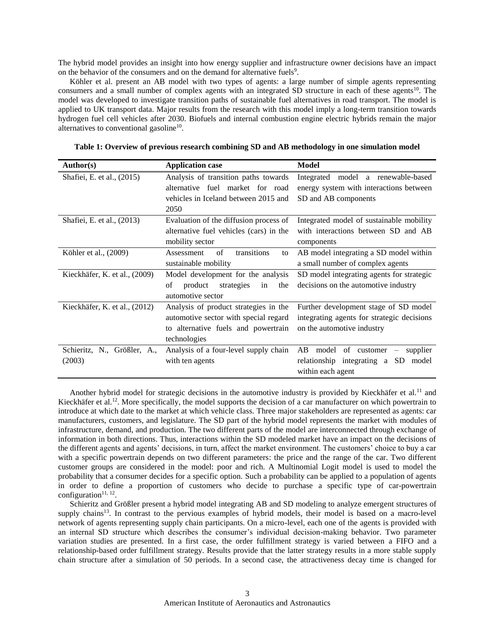The hybrid model provides an insight into how energy supplier and infrastructure owner decisions have an impact on the behavior of the consumers and on the demand for alternative fuels<sup>9</sup>.

Köhler et al. present an AB model with two types of agents: a large number of simple agents representing consumers and a small number of complex agents with an integrated SD structure in each of these agents<sup>10</sup>. The model was developed to investigate transition paths of sustainable fuel alternatives in road transport. The model is applied to UK transport data. Major results from the research with this model imply a long-term transition towards hydrogen fuel cell vehicles after 2030. Biofuels and internal combustion engine electric hybrids remain the major alternatives to conventional gasoline<sup>10</sup>.

| Author(s)                     | <b>Application case</b>                  | <b>Model</b>                                                          |  |
|-------------------------------|------------------------------------------|-----------------------------------------------------------------------|--|
| Shafiei, E. et al., (2015)    | Analysis of transition paths towards     | Integrated model a renewable-based                                    |  |
|                               | alternative fuel market for road         | energy system with interactions between                               |  |
|                               | vehicles in Iceland between 2015 and     | SD and AB components                                                  |  |
|                               | 2050                                     |                                                                       |  |
| Shafiei, E. et al., (2013)    | Evaluation of the diffusion process of   | Integrated model of sustainable mobility                              |  |
|                               | alternative fuel vehicles (cars) in the  | with interactions between SD and AB                                   |  |
|                               | mobility sector                          | components                                                            |  |
| Köhler et al., (2009)         | transitions<br>Assessment<br>of<br>to    | AB model integrating a SD model within                                |  |
|                               | sustainable mobility                     | a small number of complex agents                                      |  |
| Kieckhäfer, K. et al., (2009) | Model development for the analysis       | SD model integrating agents for strategic                             |  |
|                               | product<br>of<br>strategies<br>the<br>in | decisions on the automotive industry                                  |  |
|                               | automotive sector                        |                                                                       |  |
| Kieckhäfer, K. et al., (2012) | Analysis of product strategies in the    | Further development stage of SD model                                 |  |
|                               | automotive sector with special regard    | integrating agents for strategic decisions                            |  |
|                               | to alternative fuels and powertrain      | on the automotive industry                                            |  |
|                               | technologies                             |                                                                       |  |
| Schieritz, N., Größler, A.,   | Analysis of a four-level supply chain    | AB<br>model<br>of<br>supplier<br>customer<br>$\overline{\phantom{m}}$ |  |
| (2003)                        | with ten agents                          | relationship integrating a<br>SD<br>model                             |  |
|                               |                                          | within each agent                                                     |  |

|  | Table 1: Overview of previous research combining SD and AB methodology in one simulation model |  |
|--|------------------------------------------------------------------------------------------------|--|
|  |                                                                                                |  |

Another hybrid model for strategic decisions in the automotive industry is provided by Kieckhäfer et al.<sup>11</sup> and Kieckhäfer et al.<sup>12</sup>. More specifically, the model supports the decision of a car manufacturer on which powertrain to introduce at which date to the market at which vehicle class. Three major stakeholders are represented as agents: car manufacturers, customers, and legislature. The SD part of the hybrid model represents the market with modules of infrastructure, demand, and production. The two different parts of the model are interconnected through exchange of information in both directions. Thus, interactions within the SD modeled market have an impact on the decisions of the different agents and agents' decisions, in turn, affect the market environment. The customers' choice to buy a car with a specific powertrain depends on two different parameters: the price and the range of the car. Two different customer groups are considered in the model: poor and rich. A Multinomial Logit model is used to model the probability that a consumer decides for a specific option. Such a probability can be applied to a population of agents in order to define a proportion of customers who decide to purchase a specific type of car-powertrain configuration<sup>11, 12</sup>.

Schieritz and Größler present a hybrid model integrating AB and SD modeling to analyze emergent structures of supply chains<sup>13</sup>. In contrast to the pervious examples of hybrid models, their model is based on a macro-level network of agents representing supply chain participants. On a micro-level, each one of the agents is provided with an internal SD structure which describes the consumer's individual decision-making behavior. Two parameter variation studies are presented. In a first case, the order fulfillment strategy is varied between a FIFO and a relationship-based order fulfillment strategy. Results provide that the latter strategy results in a more stable supply chain structure after a simulation of 50 periods. In a second case, the attractiveness decay time is changed for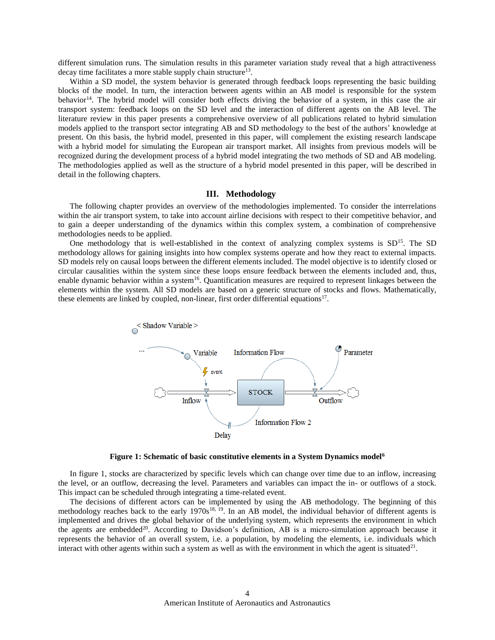different simulation runs. The simulation results in this parameter variation study reveal that a high attractiveness decay time facilitates a more stable supply chain structure<sup>13</sup>.

Within a SD model, the system behavior is generated through feedback loops representing the basic building blocks of the model. In turn, the interaction between agents within an AB model is responsible for the system behavior<sup>14</sup>. The hybrid model will consider both effects driving the behavior of a system, in this case the air transport system: feedback loops on the SD level and the interaction of different agents on the AB level. The literature review in this paper presents a comprehensive overview of all publications related to hybrid simulation models applied to the transport sector integrating AB and SD methodology to the best of the authors' knowledge at present. On this basis, the hybrid model, presented in this paper, will complement the existing research landscape with a hybrid model for simulating the European air transport market. All insights from previous models will be recognized during the development process of a hybrid model integrating the two methods of SD and AB modeling. The methodologies applied as well as the structure of a hybrid model presented in this paper, will be described in detail in the following chapters.

#### **III. Methodology**

The following chapter provides an overview of the methodologies implemented. To consider the interrelations within the air transport system, to take into account airline decisions with respect to their competitive behavior, and to gain a deeper understanding of the dynamics within this complex system, a combination of comprehensive methodologies needs to be applied.

One methodology that is well-established in the context of analyzing complex systems is  $SD<sup>15</sup>$ . The SD methodology allows for gaining insights into how complex systems operate and how they react to external impacts. SD models rely on causal loops between the different elements included. The model objective is to identify closed or circular causalities within the system since these loops ensure feedback between the elements included and, thus, enable dynamic behavior within a system<sup>16</sup>. Quantification measures are required to represent linkages between the elements within the system. All SD models are based on a generic structure of stocks and flows. Mathematically, these elements are linked by coupled, non-linear, first order differential equations<sup>17</sup>.



**Figure 1: Schematic of basic constitutive elements in a System Dynamics model<sup>6</sup>**

In figure 1, stocks are characterized by specific levels which can change over time due to an inflow, increasing the level, or an outflow, decreasing the level. Parameters and variables can impact the in- or outflows of a stock. This impact can be scheduled through integrating a time-related event.

The decisions of different actors can be implemented by using the AB methodology. The beginning of this methodology reaches back to the early  $1970s^{18, 19}$ . In an AB model, the individual behavior of different agents is implemented and drives the global behavior of the underlying system, which represents the environment in which the agents are embedded<sup>20</sup>. According to Davidson's definition, AB is a micro-simulation approach because it represents the behavior of an overall system, i.e. a population, by modeling the elements, i.e. individuals which interact with other agents within such a system as well as with the environment in which the agent is situated $2<sup>1</sup>$ .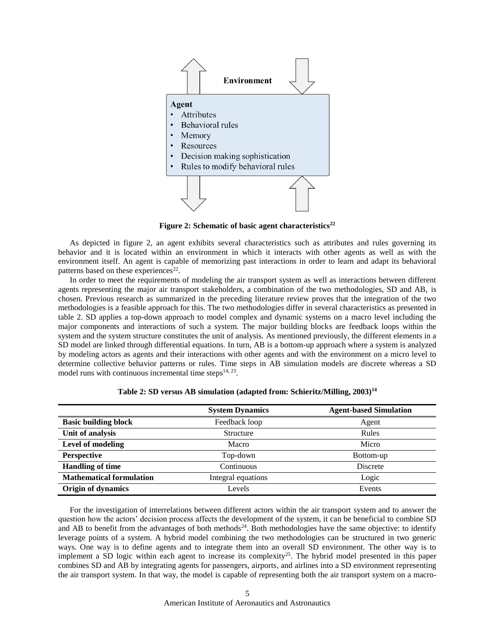

**Figure 2: Schematic of basic agent characteristics<sup>22</sup>**

As depicted in figure 2, an agent exhibits several characteristics such as attributes and rules governing its behavior and it is located within an environment in which it interacts with other agents as well as with the environment itself. An agent is capable of memorizing past interactions in order to learn and adapt its behavioral patterns based on these experiences<sup>22</sup>.

In order to meet the requirements of modeling the air transport system as well as interactions between different agents representing the major air transport stakeholders, a combination of the two methodologies, SD and AB, is chosen. Previous research as summarized in the preceding literature review proves that the integration of the two methodologies is a feasible approach for this. The two methodologies differ in several characteristics as presented in table 2. SD applies a top-down approach to model complex and dynamic systems on a macro level including the major components and interactions of such a system. The major building blocks are feedback loops within the system and the system structure constitutes the unit of analysis. As mentioned previously, the different elements in a SD model are linked through differential equations. In turn, AB is a bottom-up approach where a system is analyzed by modeling actors as agents and their interactions with other agents and with the environment on a micro level to determine collective behavior patterns or rules. Time steps in AB simulation models are discrete whereas a SD model runs with continuous incremental time steps $^{14, 23}$ .

|                                 | <b>System Dynamics</b> | <b>Agent-based Simulation</b> |
|---------------------------------|------------------------|-------------------------------|
| <b>Basic building block</b>     | Feedback loop          | Agent                         |
| Unit of analysis                | Structure              | Rules                         |
| Level of modeling               | Macro                  | Micro                         |
| <b>Perspective</b>              | Top-down               | Bottom-up                     |
| <b>Handling of time</b>         | Continuous             | Discrete                      |
| <b>Mathematical formulation</b> | Integral equations     | Logic                         |
| <b>Origin of dynamics</b>       | Levels                 | Events                        |

#### **Table 2: SD versus AB simulation (adapted from: Schieritz/Milling, 2003)<sup>14</sup>**

For the investigation of interrelations between different actors within the air transport system and to answer the question how the actors' decision process affects the development of the system, it can be beneficial to combine SD and AB to benefit from the advantages of both methods<sup>24</sup>. Both methodologies have the same objective: to identify leverage points of a system. A hybrid model combining the two methodologies can be structured in two generic ways. One way is to define agents and to integrate them into an overall SD environment. The other way is to implement a SD logic within each agent to increase its complexity<sup>25</sup>. The hybrid model presented in this paper combines SD and AB by integrating agents for passengers, airports, and airlines into a SD environment representing the air transport system. In that way, the model is capable of representing both the air transport system on a macro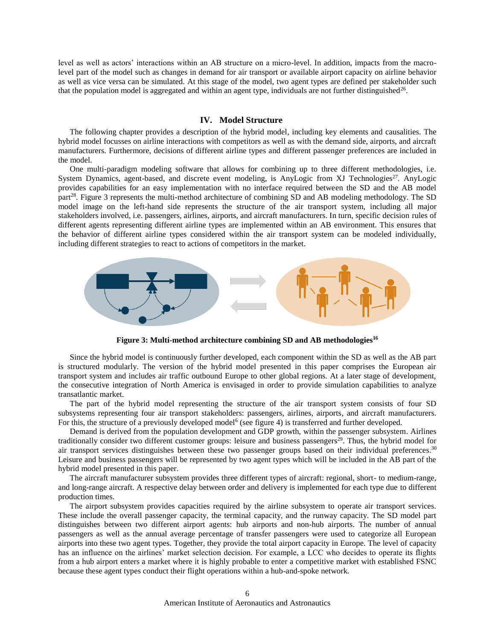level as well as actors' interactions within an AB structure on a micro-level. In addition, impacts from the macrolevel part of the model such as changes in demand for air transport or available airport capacity on airline behavior as well as vice versa can be simulated. At this stage of the model, two agent types are defined per stakeholder such that the population model is aggregated and within an agent type, individuals are not further distinguished $26$ .

# **IV. Model Structure**

The following chapter provides a description of the hybrid model, including key elements and causalities. The hybrid model focusses on airline interactions with competitors as well as with the demand side, airports, and aircraft manufacturers. Furthermore, decisions of different airline types and different passenger preferences are included in the model.

One multi-paradigm modeling software that allows for combining up to three different methodologies, i.e. System Dynamics, agent-based, and discrete event modeling, is AnyLogic from XJ Technologies<sup>27</sup>. AnyLogic provides capabilities for an easy implementation with no interface required between the SD and the AB model part<sup>28</sup>. Figure 3 represents the multi-method architecture of combining SD and AB modeling methodology. The SD model image on the left-hand side represents the structure of the air transport system, including all major stakeholders involved, i.e. passengers, airlines, airports, and aircraft manufacturers. In turn, specific decision rules of different agents representing different airline types are implemented within an AB environment. This ensures that the behavior of different airline types considered within the air transport system can be modeled individually, including different strategies to react to actions of competitors in the market.



**Figure 3: Multi-method architecture combining SD and AB methodologies 16**

Since the hybrid model is continuously further developed, each component within the SD as well as the AB part is structured modularly. The version of the hybrid model presented in this paper comprises the European air transport system and includes air traffic outbound Europe to other global regions. At a later stage of development, the consecutive integration of North America is envisaged in order to provide simulation capabilities to analyze transatlantic market.

The part of the hybrid model representing the structure of the air transport system consists of four SD subsystems representing four air transport stakeholders: passengers, airlines, airports, and aircraft manufacturers. For this, the structure of a previously developed model<sup>6</sup> (see figure 4) is transferred and further developed.

Demand is derived from the population development and GDP growth, within the passenger subsystem. Airlines traditionally consider two different customer groups: leisure and business passengers<sup>29</sup>. Thus, the hybrid model for air transport services distinguishes between these two passenger groups based on their individual preferences.<sup>30</sup> Leisure and business passengers will be represented by two agent types which will be included in the AB part of the hybrid model presented in this paper.

The aircraft manufacturer subsystem provides three different types of aircraft: regional, short- to medium-range, and long-range aircraft. A respective delay between order and delivery is implemented for each type due to different production times.

The airport subsystem provides capacities required by the airline subsystem to operate air transport services. These include the overall passenger capacity, the terminal capacity, and the runway capacity. The SD model part distinguishes between two different airport agents: hub airports and non-hub airports. The number of annual passengers as well as the annual average percentage of transfer passengers were used to categorize all European airports into these two agent types. Together, they provide the total airport capacity in Europe. The level of capacity has an influence on the airlines' market selection decision. For example, a LCC who decides to operate its flights from a hub airport enters a market where it is highly probable to enter a competitive market with established FSNC because these agent types conduct their flight operations within a hub-and-spoke network.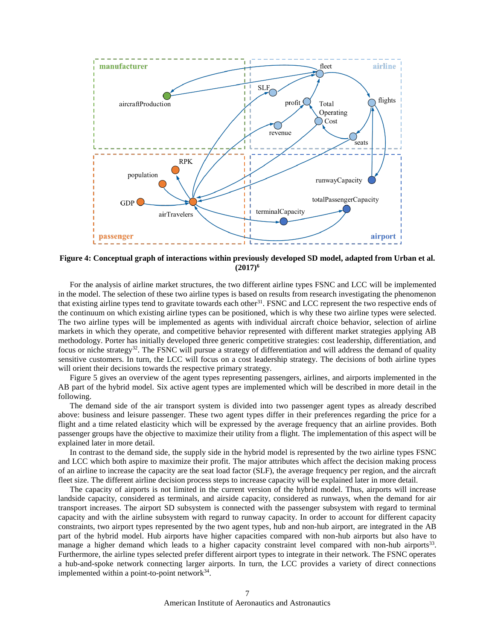

**Figure 4: Conceptual graph of interactions within previously developed SD model, adapted from Urban et al. (2017)<sup>6</sup>**

For the analysis of airline market structures, the two different airline types FSNC and LCC will be implemented in the model. The selection of these two airline types is based on results from research investigating the phenomenon that existing airline types tend to gravitate towards each other<sup>31</sup>. FSNC and LCC represent the two respective ends of the continuum on which existing airline types can be positioned, which is why these two airline types were selected. The two airline types will be implemented as agents with individual aircraft choice behavior, selection of airline markets in which they operate, and competitive behavior represented with different market strategies applying AB methodology. Porter has initially developed three generic competitive strategies: cost leadership, differentiation, and focus or niche strategy<sup>32</sup>. The FSNC will pursue a strategy of differentiation and will address the demand of quality sensitive customers. In turn, the LCC will focus on a cost leadership strategy. The decisions of both airline types will orient their decisions towards the respective primary strategy.

Figure 5 gives an overview of the agent types representing passengers, airlines, and airports implemented in the AB part of the hybrid model. Six active agent types are implemented which will be described in more detail in the following.

The demand side of the air transport system is divided into two passenger agent types as already described above: business and leisure passenger. These two agent types differ in their preferences regarding the price for a flight and a time related elasticity which will be expressed by the average frequency that an airline provides. Both passenger groups have the objective to maximize their utility from a flight. The implementation of this aspect will be explained later in more detail.

In contrast to the demand side, the supply side in the hybrid model is represented by the two airline types FSNC and LCC which both aspire to maximize their profit. The major attributes which affect the decision making process of an airline to increase the capacity are the seat load factor (SLF), the average frequency per region, and the aircraft fleet size. The different airline decision process steps to increase capacity will be explained later in more detail.

The capacity of airports is not limited in the current version of the hybrid model. Thus, airports will increase landside capacity, considered as terminals, and airside capacity, considered as runways, when the demand for air transport increases. The airport SD subsystem is connected with the passenger subsystem with regard to terminal capacity and with the airline subsystem with regard to runway capacity. In order to account for different capacity constraints, two airport types represented by the two agent types, hub and non-hub airport, are integrated in the AB part of the hybrid model. Hub airports have higher capacities compared with non-hub airports but also have to manage a higher demand which leads to a higher capacity constraint level compared with non-hub airports<sup>33</sup>. Furthermore, the airline types selected prefer different airport types to integrate in their network. The FSNC operates a hub-and-spoke network connecting larger airports. In turn, the LCC provides a variety of direct connections implemented within a point-to-point network $34$ .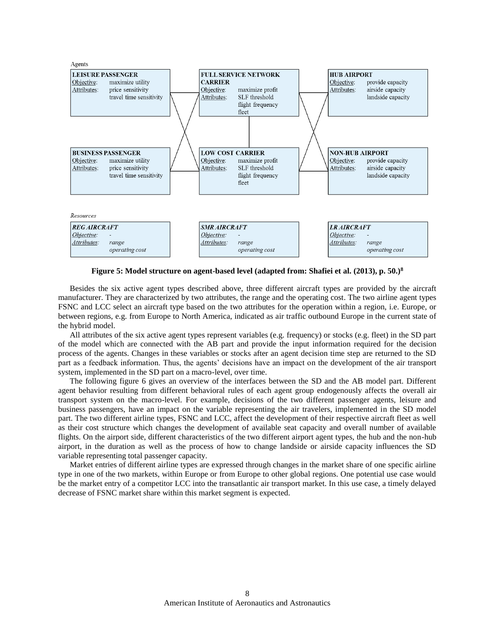

**Figure 5: Model structure on agent-based level (adapted from: Shafiei et al. (2013), p. 50.)<sup>8</sup>**

Besides the six active agent types described above, three different aircraft types are provided by the aircraft manufacturer. They are characterized by two attributes, the range and the operating cost. The two airline agent types FSNC and LCC select an aircraft type based on the two attributes for the operation within a region, i.e. Europe, or between regions, e.g. from Europe to North America, indicated as air traffic outbound Europe in the current state of the hybrid model.

All attributes of the six active agent types represent variables (e.g. frequency) or stocks (e.g. fleet) in the SD part of the model which are connected with the AB part and provide the input information required for the decision process of the agents. Changes in these variables or stocks after an agent decision time step are returned to the SD part as a feedback information. Thus, the agents' decisions have an impact on the development of the air transport system, implemented in the SD part on a macro-level, over time.

The following figure 6 gives an overview of the interfaces between the SD and the AB model part. Different agent behavior resulting from different behavioral rules of each agent group endogenously affects the overall air transport system on the macro-level. For example, decisions of the two different passenger agents, leisure and business passengers, have an impact on the variable representing the air travelers, implemented in the SD model part. The two different airline types, FSNC and LCC, affect the development of their respective aircraft fleet as well as their cost structure which changes the development of available seat capacity and overall number of available flights. On the airport side, different characteristics of the two different airport agent types, the hub and the non-hub airport, in the duration as well as the process of how to change landside or airside capacity influences the SD variable representing total passenger capacity.

Market entries of different airline types are expressed through changes in the market share of one specific airline type in one of the two markets, within Europe or from Europe to other global regions. One potential use case would be the market entry of a competitor LCC into the transatlantic air transport market. In this use case, a timely delayed decrease of FSNC market share within this market segment is expected.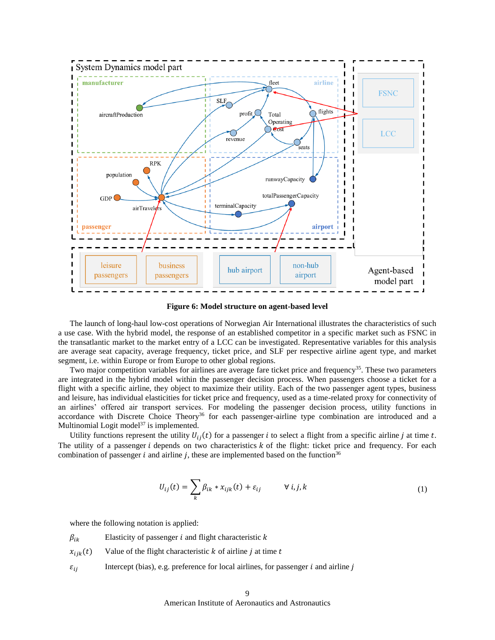

**Figure 6: Model structure on agent-based level**

The launch of long-haul low-cost operations of Norwegian Air International illustrates the characteristics of such a use case. With the hybrid model, the response of an established competitor in a specific market such as FSNC in the transatlantic market to the market entry of a LCC can be investigated. Representative variables for this analysis are average seat capacity, average frequency, ticket price, and SLF per respective airline agent type, and market segment, i.e. within Europe or from Europe to other global regions.

Two major competition variables for airlines are average fare ticket price and frequency<sup>35</sup>. These two parameters are integrated in the hybrid model within the passenger decision process. When passengers choose a ticket for a flight with a specific airline, they object to maximize their utility. Each of the two passenger agent types, business and leisure, has individual elasticities for ticket price and frequency, used as a time-related proxy for connectivity of an airlines' offered air transport services. For modeling the passenger decision process, utility functions in accordance with Discrete Choice Theory<sup>36</sup> for each passenger-airline type combination are introduced and a Multinomial Logit model $37$  is implemented.

Utility functions represent the utility  $U_{ij}(t)$  for a passenger *i* to select a flight from a specific airline *j* at time *t*. The utility of a passenger *i* depends on two characteristics  $k$  of the flight: ticket price and frequency. For each combination of passenger *i* and airline *j*, these are implemented based on the function<sup>36</sup>

$$
U_{ij}(t) = \sum_{k} \beta_{ik} * x_{ijk}(t) + \varepsilon_{ij} \qquad \forall i, j, k
$$
 (1)

where the following notation is applied:

- $\beta_{ik}$  Elasticity of passenger *i* and flight characteristic *k*
- $x_{iik}(t)$  Value of the flight characteristic k of airline j at time t
- $\varepsilon_{ij}$  Intercept (bias), e.g. preference for local airlines, for passenger *i* and airline *j*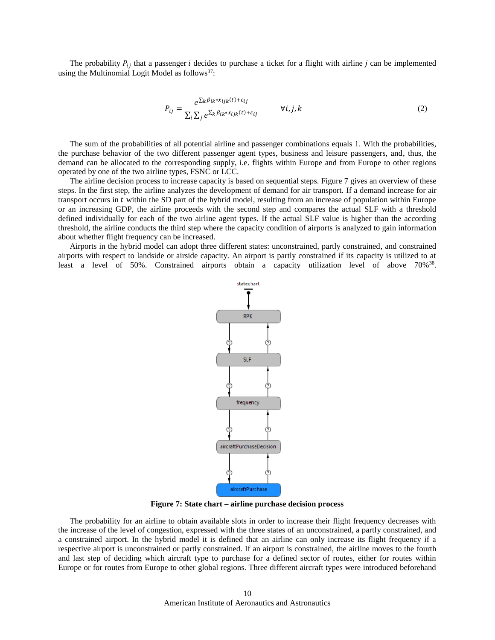The probability  $P_{i,j}$  that a passenger i decides to purchase a ticket for a flight with airline j can be implemented using the Multinomial Logit Model as follows $37$ :

$$
P_{ij} = \frac{e^{\sum_{k} \beta_{ik} * x_{ijk}(t) + \varepsilon_{ij}}}{\sum_{i} \sum_{j} e^{\sum_{k} \beta_{ik} * x_{ijk}(t) + \varepsilon_{ij}}}
$$
  $\forall i, j, k$  (2)

The sum of the probabilities of all potential airline and passenger combinations equals 1. With the probabilities, the purchase behavior of the two different passenger agent types, business and leisure passengers, and, thus, the demand can be allocated to the corresponding supply, i.e. flights within Europe and from Europe to other regions operated by one of the two airline types, FSNC or LCC.

The airline decision process to increase capacity is based on sequential steps. Figure 7 gives an overview of these steps. In the first step, the airline analyzes the development of demand for air transport. If a demand increase for air transport occurs in t within the SD part of the hybrid model, resulting from an increase of population within Europe or an increasing GDP, the airline proceeds with the second step and compares the actual SLF with a threshold defined individually for each of the two airline agent types. If the actual SLF value is higher than the according threshold, the airline conducts the third step where the capacity condition of airports is analyzed to gain information about whether flight frequency can be increased.

Airports in the hybrid model can adopt three different states: unconstrained, partly constrained, and constrained airports with respect to landside or airside capacity. An airport is partly constrained if its capacity is utilized to at least a level of 50%. Constrained airports obtain a capacity utilization level of above 70%<sup>38</sup>.



**Figure 7: State chart – airline purchase decision process**

The probability for an airline to obtain available slots in order to increase their flight frequency decreases with the increase of the level of congestion, expressed with the three states of an unconstrained, a partly constrained, and a constrained airport. In the hybrid model it is defined that an airline can only increase its flight frequency if a respective airport is unconstrained or partly constrained. If an airport is constrained, the airline moves to the fourth and last step of deciding which aircraft type to purchase for a defined sector of routes, either for routes within Europe or for routes from Europe to other global regions. Three different aircraft types were introduced beforehand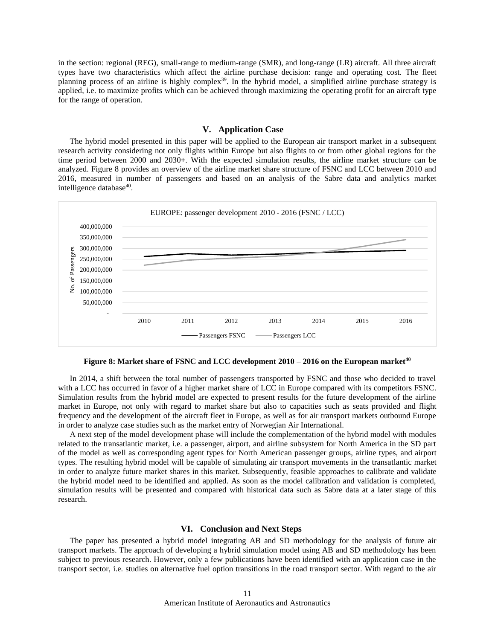in the section: regional (REG), small-range to medium-range (SMR), and long-range (LR) aircraft. All three aircraft types have two characteristics which affect the airline purchase decision: range and operating cost. The fleet planning process of an airline is highly complex<sup>39</sup>. In the hybrid model, a simplified airline purchase strategy is applied, i.e. to maximize profits which can be achieved through maximizing the operating profit for an aircraft type for the range of operation.

# **V. Application Case**

The hybrid model presented in this paper will be applied to the European air transport market in a subsequent research activity considering not only flights within Europe but also flights to or from other global regions for the time period between 2000 and 2030+. With the expected simulation results, the airline market structure can be analyzed. Figure 8 provides an overview of the airline market share structure of FSNC and LCC between 2010 and 2016, measured in number of passengers and based on an analysis of the Sabre data and analytics market intelligence database<sup>40</sup>.



**Figure 8: Market share of FSNC and LCC development 2010 – 2016 on the European market<sup>40</sup>**

In 2014, a shift between the total number of passengers transported by FSNC and those who decided to travel with a LCC has occurred in favor of a higher market share of LCC in Europe compared with its competitors FSNC. Simulation results from the hybrid model are expected to present results for the future development of the airline market in Europe, not only with regard to market share but also to capacities such as seats provided and flight frequency and the development of the aircraft fleet in Europe, as well as for air transport markets outbound Europe in order to analyze case studies such as the market entry of Norwegian Air International.

A next step of the model development phase will include the complementation of the hybrid model with modules related to the transatlantic market, i.e. a passenger, airport, and airline subsystem for North America in the SD part of the model as well as corresponding agent types for North American passenger groups, airline types, and airport types. The resulting hybrid model will be capable of simulating air transport movements in the transatlantic market in order to analyze future market shares in this market. Subsequently, feasible approaches to calibrate and validate the hybrid model need to be identified and applied. As soon as the model calibration and validation is completed, simulation results will be presented and compared with historical data such as Sabre data at a later stage of this research.

# **VI. Conclusion and Next Steps**

The paper has presented a hybrid model integrating AB and SD methodology for the analysis of future air transport markets. The approach of developing a hybrid simulation model using AB and SD methodology has been subject to previous research. However, only a few publications have been identified with an application case in the transport sector, i.e. studies on alternative fuel option transitions in the road transport sector. With regard to the air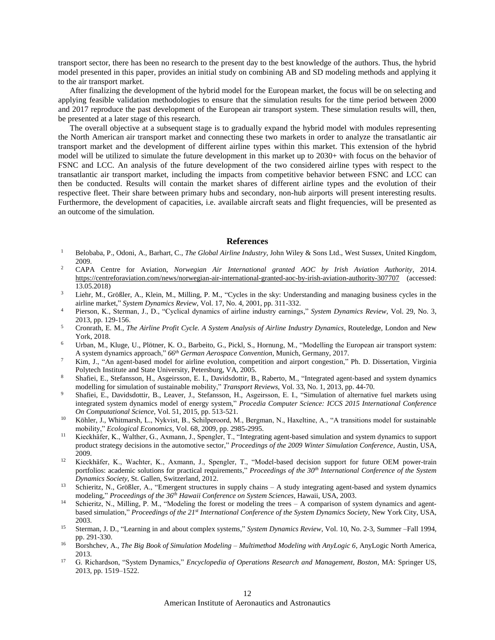transport sector, there has been no research to the present day to the best knowledge of the authors. Thus, the hybrid model presented in this paper, provides an initial study on combining AB and SD modeling methods and applying it to the air transport market.

After finalizing the development of the hybrid model for the European market, the focus will be on selecting and applying feasible validation methodologies to ensure that the simulation results for the time period between 2000 and 2017 reproduce the past development of the European air transport system. These simulation results will, then, be presented at a later stage of this research.

The overall objective at a subsequent stage is to gradually expand the hybrid model with modules representing the North American air transport market and connecting these two markets in order to analyze the transatlantic air transport market and the development of different airline types within this market. This extension of the hybrid model will be utilized to simulate the future development in this market up to 2030+ with focus on the behavior of FSNC and LCC. An analysis of the future development of the two considered airline types with respect to the transatlantic air transport market, including the impacts from competitive behavior between FSNC and LCC can then be conducted. Results will contain the market shares of different airline types and the evolution of their respective fleet. Their share between primary hubs and secondary, non-hub airports will present interesting results. Furthermore, the development of capacities, i.e. available aircraft seats and flight frequencies, will be presented as an outcome of the simulation.

#### **References**

- <sup>1</sup> Belobaba, P., Odoni, A., Barhart, C., *The Global Airline Industry*, John Wiley & Sons Ltd., West Sussex, United Kingdom, 2009.
- <sup>2</sup> CAPA Centre for Aviation, *Norwegian Air International granted AOC by Irish Aviation Authority*, 2014. <https://centreforaviation.com/news/norwegian-air-international-granted-aoc-by-irish-aviation-authority-307707> (accessed: 13.05.2018)
- <sup>3</sup> Liehr, M., Größler, A., Klein, M., Milling, P. M., "Cycles in the sky: Understanding and managing business cycles in the airline market," *System Dynamics Review*, Vol. 17, No. 4, 2001, pp. 311-332.
- <sup>4</sup> Pierson, K., Sterman, J., D., "Cyclical dynamics of airline industry earnings," *System Dynamics Review*, Vol. 29, No. 3, 2013, pp. 129-156.
- <sup>5</sup> Cronrath, E. M., *The Airline Profit Cycle. A System Analysis of Airline Industry Dynamics*, Routeledge, London and New York, 2018.
- <sup>6</sup> Urban, M., Kluge, U., Plötner, K. O., Barbeito, G., Pickl, S., Hornung, M., "Modelling the European air transport system: A system dynamics approach," *66th German Aerospace Convention*, Munich, Germany, 2017.
- <sup>7</sup> Kim, J., "An agent-based model for airline evolution, competition and airport congestion," Ph. D. Dissertation, Virginia Polytech Institute and State University, Petersburg, VA, 2005.
- <sup>8</sup> Shafiei, E., Stefansson, H., Asgeirsson, E. I., Davidsdottir, B., Raberto, M., "Integrated agent-based and system dynamics modelling for simulation of sustainable mobility," *Transport Reviews*, Vol. 33, No. 1, 2013, pp. 44-70.
- <sup>9</sup> Shafiei, E., Davidsdottir, B., Leaver, J., Stefansson, H., Asgeirsson, E. I., "Simulation of alternative fuel markets using integrated system dynamics model of energy system," *Procedia Computer Science: ICCS 2015 International Conference On Computational Science*, Vol. 51, 2015, pp. 513-521.
- <sup>10</sup> Köhler, J., Whitmarsh, L., Nykvist, B., Schilperoord, M., Bergman, N., Haxeltine, A., "A transitions model for sustainable mobility," *Ecological Economics*, Vol. 68, 2009, pp. 2985-2995.
- <sup>11</sup> Kieckhäfer, K., Walther, G., Axmann, J., Spengler, T., "Integrating agent-based simulation and system dynamics to support product strategy decisions in the automotive sector," *Proceedings of the 2009 Winter Simulation Conference*, Austin, USA, 2009.
- <sup>12</sup> Kieckhäfer, K., Wachter, K., Axmann, J., Spengler, T., "Model-based decision support for future OEM power-train portfolios: academic solutions for practical requirements," *Proceedings of the 30th International Conference of the System Dynamics Society*, St. Gallen, Switzerland, 2012.
- <sup>13</sup> Schieritz, N., Größler, A., "Emergent structures in supply chains A study integrating agent-based and system dynamics modeling," *Proceedings of the 36th Hawaii Conference on System Sciences*, Hawaii, USA, 2003.
- <sup>14</sup> Schieritz, N., Milling, P. M., "Modeling the forest or modeling the trees A comparison of system dynamics and agentbased simulation," *Proceedings of the 21st International Conference of the System Dynamics Society*, New York City, USA, 2003.
- <sup>15</sup> Sterman, J. D., "Learning in and about complex systems," *System Dynamics Review*, Vol. 10, No. 2-3, Summer –Fall 1994, pp. 291-330.
- <sup>16</sup> Borshchev, A., *The Big Book of Simulation Modeling – Multimethod Modeling with AnyLogic 6*, AnyLogic North America, 2013.
- <sup>17</sup> G. Richardson, "System Dynamics," *Encyclopedia of Operations Research and Management, Boston*, MA: Springer US, 2013, pp. 1519–1522.